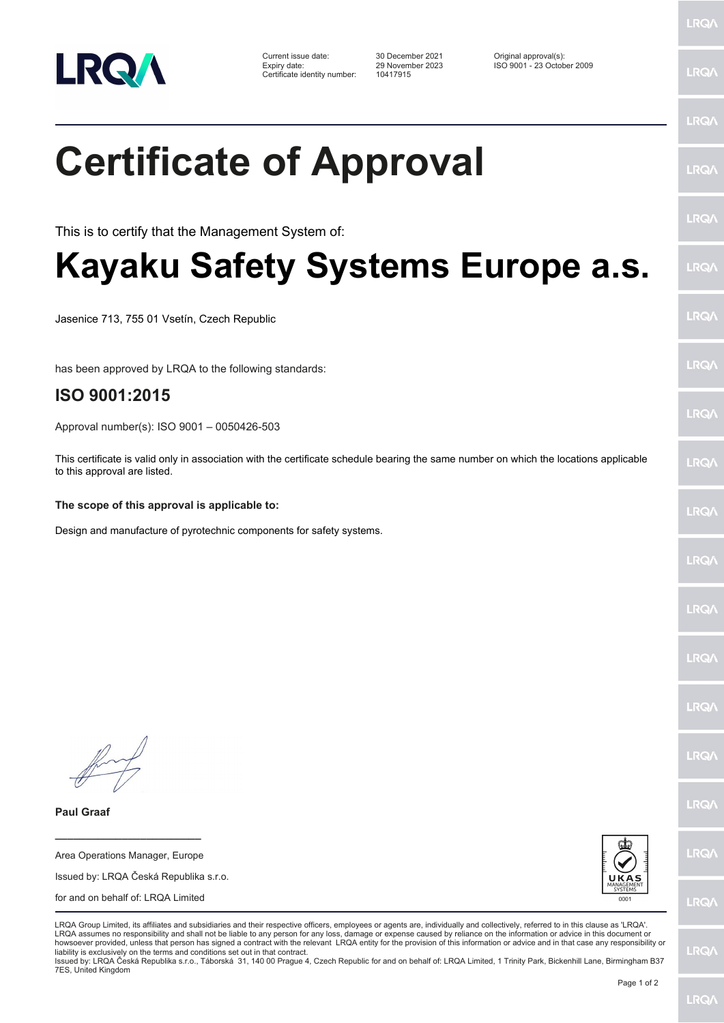

Current issue date: 30 December 2021 Original approval(s): Expiry date: 29 November 2023 ISO 9001 - 23 October 2009 Certificate identity number: 10417915

LRQ/

LRQ/

LRQ/

LRQ/

LRQ/

LRQ/

LRQ/

LRQ/

**LRQA** 

**LRO** 

LRQ/

LRQ/

LRQ/

LRQ/

LRQ/

**IRQA** 

LRQ/

LRQ/

**LRQ/** 

LRQ/

## **Certificate of Approval** This is to certify that the Management System of:

**Kayaku Safety Systems Europe a.s.**

Jasenice 713, 755 01 Vsetín, Czech Republic

has been approved by LRQA to the following standards:

## **ISO 9001:2015**

Approval number(s): ISO 9001 – 0050426-503

This certificate is valid only in association with the certificate schedule bearing the same number on which the locations applicable to this approval are listed.

## **The scope of this approval is applicable to:**

Design and manufacture of pyrotechnic components for safety systems.

**Paul Graaf**

Area Operations Manager, Europe Issued by: LRQA Česká Republika s.r.o. for and on behalf of: LRQA Limited

**\_\_\_\_\_\_\_\_\_\_\_\_\_\_\_\_\_\_\_\_\_\_\_\_**



LRQA Group Limited, its affiliates and subsidiaries and their respective officers, employees or agents are, individually and collectively, referred to in this clause as 'LRQA'. LRQA assumes no responsibility and shall not be liable to any person for any loss, damage or expense caused by reliance on the information or advice in this document or howsoever provided, unless that person has signed a contract with the relevant LRQA entity for the provision of this information or advice and in that case any responsibility or<br>liability is exclusively on the terms and co

Issued by: LRQA Česká Republika s.r.o., Táborská 31, 140 00 Prague 4, Czech Republic for and on behalf of: LRQA Limited, 1 Trinity Park, Bickenhill Lane, Birmingham B37 7ES, United Kingdom